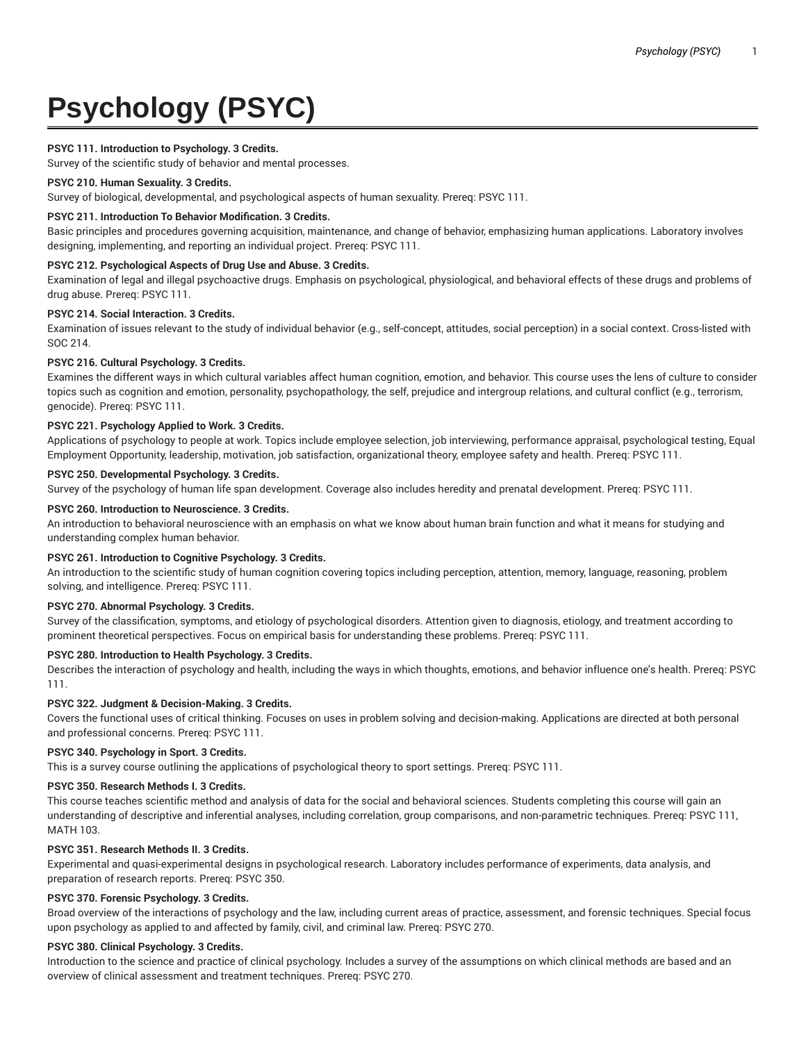# **Psychology (PSYC)**

# **PSYC 111. Introduction to Psychology. 3 Credits.**

Survey of the scientific study of behavior and mental processes.

## **PSYC 210. Human Sexuality. 3 Credits.**

Survey of biological, developmental, and psychological aspects of human sexuality. Prereq: PSYC 111.

## **PSYC 211. Introduction To Behavior Modification. 3 Credits.**

Basic principles and procedures governing acquisition, maintenance, and change of behavior, emphasizing human applications. Laboratory involves designing, implementing, and reporting an individual project. Prereq: PSYC 111.

# **PSYC 212. Psychological Aspects of Drug Use and Abuse. 3 Credits.**

Examination of legal and illegal psychoactive drugs. Emphasis on psychological, physiological, and behavioral effects of these drugs and problems of drug abuse. Prereq: PSYC 111.

# **PSYC 214. Social Interaction. 3 Credits.**

Examination of issues relevant to the study of individual behavior (e.g., self-concept, attitudes, social perception) in a social context. Cross-listed with SOC 214.

# **PSYC 216. Cultural Psychology. 3 Credits.**

Examines the different ways in which cultural variables affect human cognition, emotion, and behavior. This course uses the lens of culture to consider topics such as cognition and emotion, personality, psychopathology, the self, prejudice and intergroup relations, and cultural conflict (e.g., terrorism, genocide). Prereq: PSYC 111.

# **PSYC 221. Psychology Applied to Work. 3 Credits.**

Applications of psychology to people at work. Topics include employee selection, job interviewing, performance appraisal, psychological testing, Equal Employment Opportunity, leadership, motivation, job satisfaction, organizational theory, employee safety and health. Prereq: PSYC 111.

## **PSYC 250. Developmental Psychology. 3 Credits.**

Survey of the psychology of human life span development. Coverage also includes heredity and prenatal development. Prereq: PSYC 111.

# **PSYC 260. Introduction to Neuroscience. 3 Credits.**

An introduction to behavioral neuroscience with an emphasis on what we know about human brain function and what it means for studying and understanding complex human behavior.

## **PSYC 261. Introduction to Cognitive Psychology. 3 Credits.**

An introduction to the scientific study of human cognition covering topics including perception, attention, memory, language, reasoning, problem solving, and intelligence. Prereq: PSYC 111.

## **PSYC 270. Abnormal Psychology. 3 Credits.**

Survey of the classification, symptoms, and etiology of psychological disorders. Attention given to diagnosis, etiology, and treatment according to prominent theoretical perspectives. Focus on empirical basis for understanding these problems. Prereq: PSYC 111.

# **PSYC 280. Introduction to Health Psychology. 3 Credits.**

Describes the interaction of psychology and health, including the ways in which thoughts, emotions, and behavior influence one's health. Prereq: PSYC 111.

## **PSYC 322. Judgment & Decision-Making. 3 Credits.**

Covers the functional uses of critical thinking. Focuses on uses in problem solving and decision-making. Applications are directed at both personal and professional concerns. Prereq: PSYC 111.

## **PSYC 340. Psychology in Sport. 3 Credits.**

This is a survey course outlining the applications of psychological theory to sport settings. Prereq: PSYC 111.

## **PSYC 350. Research Methods I. 3 Credits.**

This course teaches scientific method and analysis of data for the social and behavioral sciences. Students completing this course will gain an understanding of descriptive and inferential analyses, including correlation, group comparisons, and non-parametric techniques. Prereq: PSYC 111, MATH 103.

## **PSYC 351. Research Methods II. 3 Credits.**

Experimental and quasi-experimental designs in psychological research. Laboratory includes performance of experiments, data analysis, and preparation of research reports. Prereq: PSYC 350.

# **PSYC 370. Forensic Psychology. 3 Credits.**

Broad overview of the interactions of psychology and the law, including current areas of practice, assessment, and forensic techniques. Special focus upon psychology as applied to and affected by family, civil, and criminal law. Prereq: PSYC 270.

## **PSYC 380. Clinical Psychology. 3 Credits.**

Introduction to the science and practice of clinical psychology. Includes a survey of the assumptions on which clinical methods are based and an overview of clinical assessment and treatment techniques. Prereq: PSYC 270.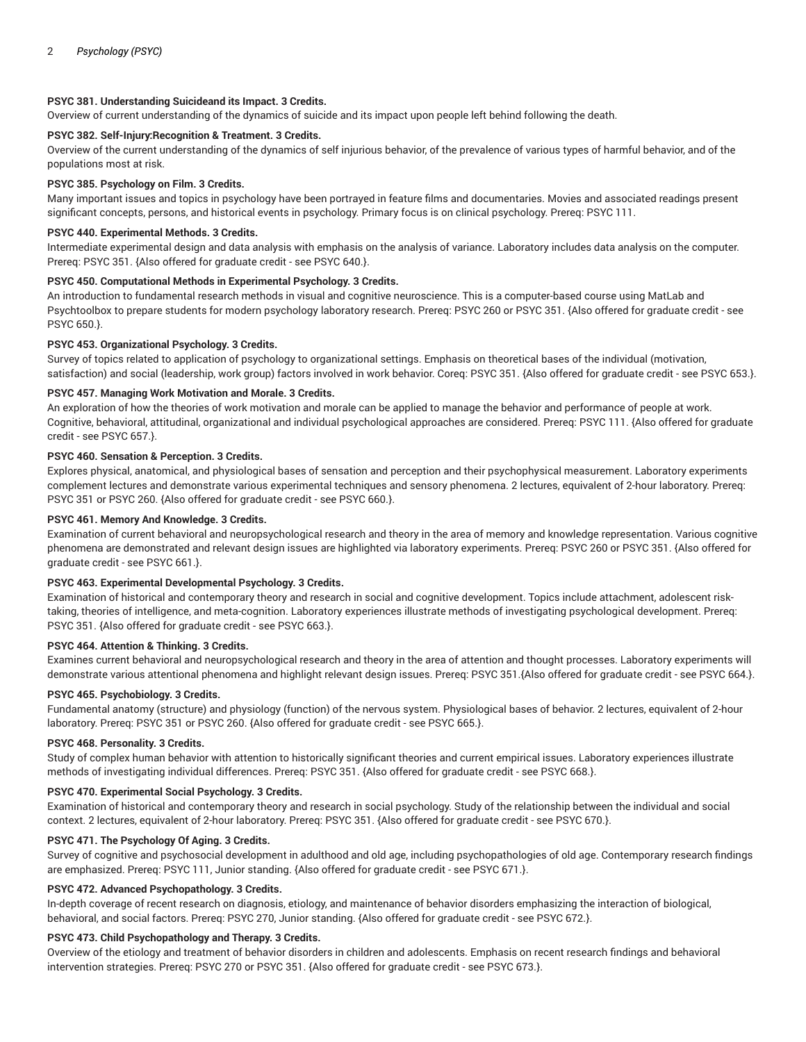## **PSYC 381. Understanding Suicideand its Impact. 3 Credits.**

Overview of current understanding of the dynamics of suicide and its impact upon people left behind following the death.

## **PSYC 382. Self-Injury:Recognition & Treatment. 3 Credits.**

Overview of the current understanding of the dynamics of self injurious behavior, of the prevalence of various types of harmful behavior, and of the populations most at risk.

## **PSYC 385. Psychology on Film. 3 Credits.**

Many important issues and topics in psychology have been portrayed in feature films and documentaries. Movies and associated readings present significant concepts, persons, and historical events in psychology. Primary focus is on clinical psychology. Prereq: PSYC 111.

# **PSYC 440. Experimental Methods. 3 Credits.**

Intermediate experimental design and data analysis with emphasis on the analysis of variance. Laboratory includes data analysis on the computer. Prereq: PSYC 351. {Also offered for graduate credit - see PSYC 640.}.

# **PSYC 450. Computational Methods in Experimental Psychology. 3 Credits.**

An introduction to fundamental research methods in visual and cognitive neuroscience. This is a computer-based course using MatLab and Psychtoolbox to prepare students for modern psychology laboratory research. Prereq: PSYC 260 or PSYC 351. {Also offered for graduate credit - see PSYC 650.}.

## **PSYC 453. Organizational Psychology. 3 Credits.**

Survey of topics related to application of psychology to organizational settings. Emphasis on theoretical bases of the individual (motivation, satisfaction) and social (leadership, work group) factors involved in work behavior. Coreq: PSYC 351. {Also offered for graduate credit - see PSYC 653.}.

## **PSYC 457. Managing Work Motivation and Morale. 3 Credits.**

An exploration of how the theories of work motivation and morale can be applied to manage the behavior and performance of people at work. Cognitive, behavioral, attitudinal, organizational and individual psychological approaches are considered. Prereq: PSYC 111. {Also offered for graduate credit - see PSYC 657.}.

# **PSYC 460. Sensation & Perception. 3 Credits.**

Explores physical, anatomical, and physiological bases of sensation and perception and their psychophysical measurement. Laboratory experiments complement lectures and demonstrate various experimental techniques and sensory phenomena. 2 lectures, equivalent of 2-hour laboratory. Prereq: PSYC 351 or PSYC 260. {Also offered for graduate credit - see PSYC 660.}.

#### **PSYC 461. Memory And Knowledge. 3 Credits.**

Examination of current behavioral and neuropsychological research and theory in the area of memory and knowledge representation. Various cognitive phenomena are demonstrated and relevant design issues are highlighted via laboratory experiments. Prereq: PSYC 260 or PSYC 351. {Also offered for graduate credit - see PSYC 661.}.

## **PSYC 463. Experimental Developmental Psychology. 3 Credits.**

Examination of historical and contemporary theory and research in social and cognitive development. Topics include attachment, adolescent risktaking, theories of intelligence, and meta-cognition. Laboratory experiences illustrate methods of investigating psychological development. Prereq: PSYC 351. {Also offered for graduate credit - see PSYC 663.}.

#### **PSYC 464. Attention & Thinking. 3 Credits.**

Examines current behavioral and neuropsychological research and theory in the area of attention and thought processes. Laboratory experiments will demonstrate various attentional phenomena and highlight relevant design issues. Prereq: PSYC 351.{Also offered for graduate credit - see PSYC 664.}.

#### **PSYC 465. Psychobiology. 3 Credits.**

Fundamental anatomy (structure) and physiology (function) of the nervous system. Physiological bases of behavior. 2 lectures, equivalent of 2-hour laboratory. Prereq: PSYC 351 or PSYC 260. {Also offered for graduate credit - see PSYC 665.}.

#### **PSYC 468. Personality. 3 Credits.**

Study of complex human behavior with attention to historically significant theories and current empirical issues. Laboratory experiences illustrate methods of investigating individual differences. Prereq: PSYC 351. {Also offered for graduate credit - see PSYC 668.}.

## **PSYC 470. Experimental Social Psychology. 3 Credits.**

Examination of historical and contemporary theory and research in social psychology. Study of the relationship between the individual and social context. 2 lectures, equivalent of 2-hour laboratory. Prereq: PSYC 351. {Also offered for graduate credit - see PSYC 670.}.

#### **PSYC 471. The Psychology Of Aging. 3 Credits.**

Survey of cognitive and psychosocial development in adulthood and old age, including psychopathologies of old age. Contemporary research findings are emphasized. Prereq: PSYC 111, Junior standing. {Also offered for graduate credit - see PSYC 671.}.

# **PSYC 472. Advanced Psychopathology. 3 Credits.**

In-depth coverage of recent research on diagnosis, etiology, and maintenance of behavior disorders emphasizing the interaction of biological, behavioral, and social factors. Prereq: PSYC 270, Junior standing. {Also offered for graduate credit - see PSYC 672.}.

## **PSYC 473. Child Psychopathology and Therapy. 3 Credits.**

Overview of the etiology and treatment of behavior disorders in children and adolescents. Emphasis on recent research findings and behavioral intervention strategies. Prereq: PSYC 270 or PSYC 351. {Also offered for graduate credit - see PSYC 673.}.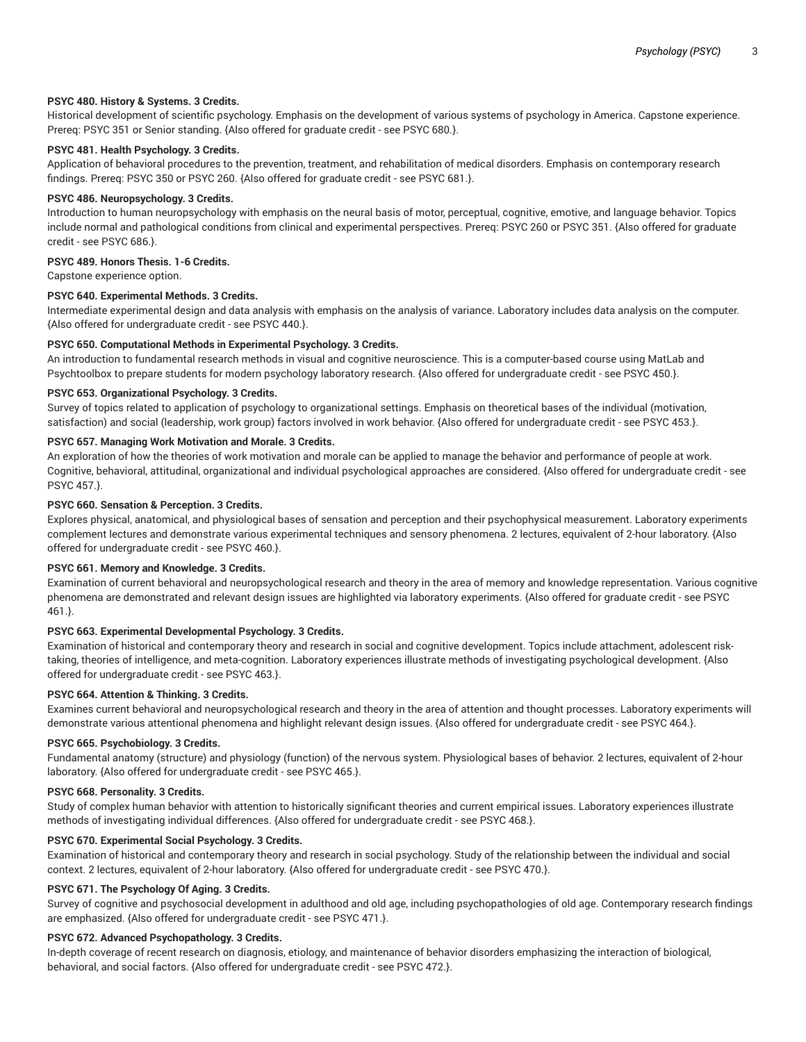## **PSYC 480. History & Systems. 3 Credits.**

Historical development of scientific psychology. Emphasis on the development of various systems of psychology in America. Capstone experience. Prereq: PSYC 351 or Senior standing. {Also offered for graduate credit - see PSYC 680.}.

# **PSYC 481. Health Psychology. 3 Credits.**

Application of behavioral procedures to the prevention, treatment, and rehabilitation of medical disorders. Emphasis on contemporary research findings. Prereq: PSYC 350 or PSYC 260. {Also offered for graduate credit - see PSYC 681.}.

## **PSYC 486. Neuropsychology. 3 Credits.**

Introduction to human neuropsychology with emphasis on the neural basis of motor, perceptual, cognitive, emotive, and language behavior. Topics include normal and pathological conditions from clinical and experimental perspectives. Prereq: PSYC 260 or PSYC 351. {Also offered for graduate credit - see PSYC 686.}.

## **PSYC 489. Honors Thesis. 1-6 Credits.**

Capstone experience option.

# **PSYC 640. Experimental Methods. 3 Credits.**

Intermediate experimental design and data analysis with emphasis on the analysis of variance. Laboratory includes data analysis on the computer. {Also offered for undergraduate credit - see PSYC 440.}.

## **PSYC 650. Computational Methods in Experimental Psychology. 3 Credits.**

An introduction to fundamental research methods in visual and cognitive neuroscience. This is a computer-based course using MatLab and Psychtoolbox to prepare students for modern psychology laboratory research. {Also offered for undergraduate credit - see PSYC 450.}.

## **PSYC 653. Organizational Psychology. 3 Credits.**

Survey of topics related to application of psychology to organizational settings. Emphasis on theoretical bases of the individual (motivation, satisfaction) and social (leadership, work group) factors involved in work behavior. {Also offered for undergraduate credit - see PSYC 453.}.

# **PSYC 657. Managing Work Motivation and Morale. 3 Credits.**

An exploration of how the theories of work motivation and morale can be applied to manage the behavior and performance of people at work. Cognitive, behavioral, attitudinal, organizational and individual psychological approaches are considered. {Also offered for undergraduate credit - see PSYC 457.}.

## **PSYC 660. Sensation & Perception. 3 Credits.**

Explores physical, anatomical, and physiological bases of sensation and perception and their psychophysical measurement. Laboratory experiments complement lectures and demonstrate various experimental techniques and sensory phenomena. 2 lectures, equivalent of 2-hour laboratory. {Also offered for undergraduate credit - see PSYC 460.}.

## **PSYC 661. Memory and Knowledge. 3 Credits.**

Examination of current behavioral and neuropsychological research and theory in the area of memory and knowledge representation. Various cognitive phenomena are demonstrated and relevant design issues are highlighted via laboratory experiments. {Also offered for graduate credit - see PSYC 461.}.

#### **PSYC 663. Experimental Developmental Psychology. 3 Credits.**

Examination of historical and contemporary theory and research in social and cognitive development. Topics include attachment, adolescent risktaking, theories of intelligence, and meta-cognition. Laboratory experiences illustrate methods of investigating psychological development. {Also offered for undergraduate credit - see PSYC 463.}.

## **PSYC 664. Attention & Thinking. 3 Credits.**

Examines current behavioral and neuropsychological research and theory in the area of attention and thought processes. Laboratory experiments will demonstrate various attentional phenomena and highlight relevant design issues. {Also offered for undergraduate credit - see PSYC 464.}.

#### **PSYC 665. Psychobiology. 3 Credits.**

Fundamental anatomy (structure) and physiology (function) of the nervous system. Physiological bases of behavior. 2 lectures, equivalent of 2-hour laboratory. {Also offered for undergraduate credit - see PSYC 465.}.

#### **PSYC 668. Personality. 3 Credits.**

Study of complex human behavior with attention to historically significant theories and current empirical issues. Laboratory experiences illustrate methods of investigating individual differences. {Also offered for undergraduate credit - see PSYC 468.}.

## **PSYC 670. Experimental Social Psychology. 3 Credits.**

Examination of historical and contemporary theory and research in social psychology. Study of the relationship between the individual and social context. 2 lectures, equivalent of 2-hour laboratory. {Also offered for undergraduate credit - see PSYC 470.}.

# **PSYC 671. The Psychology Of Aging. 3 Credits.**

Survey of cognitive and psychosocial development in adulthood and old age, including psychopathologies of old age. Contemporary research findings are emphasized. {Also offered for undergraduate credit - see PSYC 471.}.

## **PSYC 672. Advanced Psychopathology. 3 Credits.**

In-depth coverage of recent research on diagnosis, etiology, and maintenance of behavior disorders emphasizing the interaction of biological, behavioral, and social factors. {Also offered for undergraduate credit - see PSYC 472.}.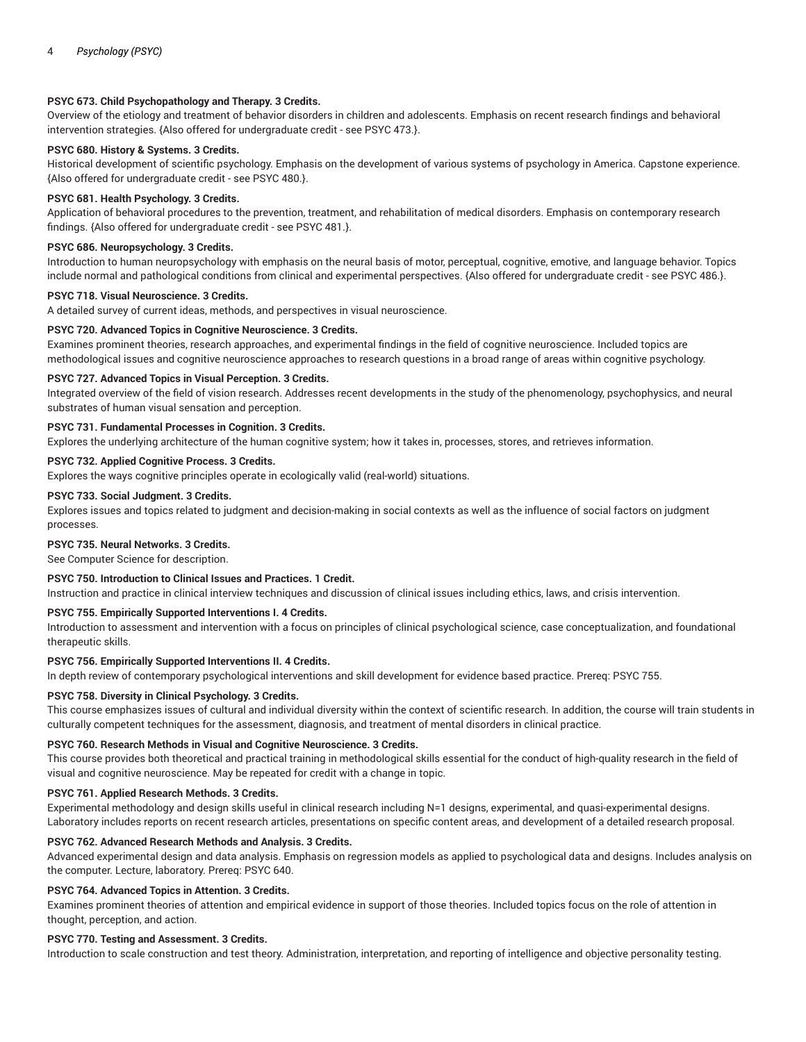## **PSYC 673. Child Psychopathology and Therapy. 3 Credits.**

Overview of the etiology and treatment of behavior disorders in children and adolescents. Emphasis on recent research findings and behavioral intervention strategies. {Also offered for undergraduate credit - see PSYC 473.}.

# **PSYC 680. History & Systems. 3 Credits.**

Historical development of scientific psychology. Emphasis on the development of various systems of psychology in America. Capstone experience. {Also offered for undergraduate credit - see PSYC 480.}.

## **PSYC 681. Health Psychology. 3 Credits.**

Application of behavioral procedures to the prevention, treatment, and rehabilitation of medical disorders. Emphasis on contemporary research findings. {Also offered for undergraduate credit - see PSYC 481.}.

## **PSYC 686. Neuropsychology. 3 Credits.**

Introduction to human neuropsychology with emphasis on the neural basis of motor, perceptual, cognitive, emotive, and language behavior. Topics include normal and pathological conditions from clinical and experimental perspectives. {Also offered for undergraduate credit - see PSYC 486.}.

## **PSYC 718. Visual Neuroscience. 3 Credits.**

A detailed survey of current ideas, methods, and perspectives in visual neuroscience.

## **PSYC 720. Advanced Topics in Cognitive Neuroscience. 3 Credits.**

Examines prominent theories, research approaches, and experimental findings in the field of cognitive neuroscience. Included topics are methodological issues and cognitive neuroscience approaches to research questions in a broad range of areas within cognitive psychology.

## **PSYC 727. Advanced Topics in Visual Perception. 3 Credits.**

Integrated overview of the field of vision research. Addresses recent developments in the study of the phenomenology, psychophysics, and neural substrates of human visual sensation and perception.

#### **PSYC 731. Fundamental Processes in Cognition. 3 Credits.**

Explores the underlying architecture of the human cognitive system; how it takes in, processes, stores, and retrieves information.

## **PSYC 732. Applied Cognitive Process. 3 Credits.**

Explores the ways cognitive principles operate in ecologically valid (real-world) situations.

#### **PSYC 733. Social Judgment. 3 Credits.**

Explores issues and topics related to judgment and decision-making in social contexts as well as the influence of social factors on judgment processes.

## **PSYC 735. Neural Networks. 3 Credits.**

See Computer Science for description.

## **PSYC 750. Introduction to Clinical Issues and Practices. 1 Credit.**

Instruction and practice in clinical interview techniques and discussion of clinical issues including ethics, laws, and crisis intervention.

## **PSYC 755. Empirically Supported Interventions I. 4 Credits.**

Introduction to assessment and intervention with a focus on principles of clinical psychological science, case conceptualization, and foundational therapeutic skills.

#### **PSYC 756. Empirically Supported Interventions II. 4 Credits.**

In depth review of contemporary psychological interventions and skill development for evidence based practice. Prereq: PSYC 755.

#### **PSYC 758. Diversity in Clinical Psychology. 3 Credits.**

This course emphasizes issues of cultural and individual diversity within the context of scientific research. In addition, the course will train students in culturally competent techniques for the assessment, diagnosis, and treatment of mental disorders in clinical practice.

## **PSYC 760. Research Methods in Visual and Cognitive Neuroscience. 3 Credits.**

This course provides both theoretical and practical training in methodological skills essential for the conduct of high-quality research in the field of visual and cognitive neuroscience. May be repeated for credit with a change in topic.

#### **PSYC 761. Applied Research Methods. 3 Credits.**

Experimental methodology and design skills useful in clinical research including N=1 designs, experimental, and quasi-experimental designs. Laboratory includes reports on recent research articles, presentations on specific content areas, and development of a detailed research proposal.

#### **PSYC 762. Advanced Research Methods and Analysis. 3 Credits.**

Advanced experimental design and data analysis. Emphasis on regression models as applied to psychological data and designs. Includes analysis on the computer. Lecture, laboratory. Prereq: PSYC 640.

## **PSYC 764. Advanced Topics in Attention. 3 Credits.**

Examines prominent theories of attention and empirical evidence in support of those theories. Included topics focus on the role of attention in thought, perception, and action.

#### **PSYC 770. Testing and Assessment. 3 Credits.**

Introduction to scale construction and test theory. Administration, interpretation, and reporting of intelligence and objective personality testing.